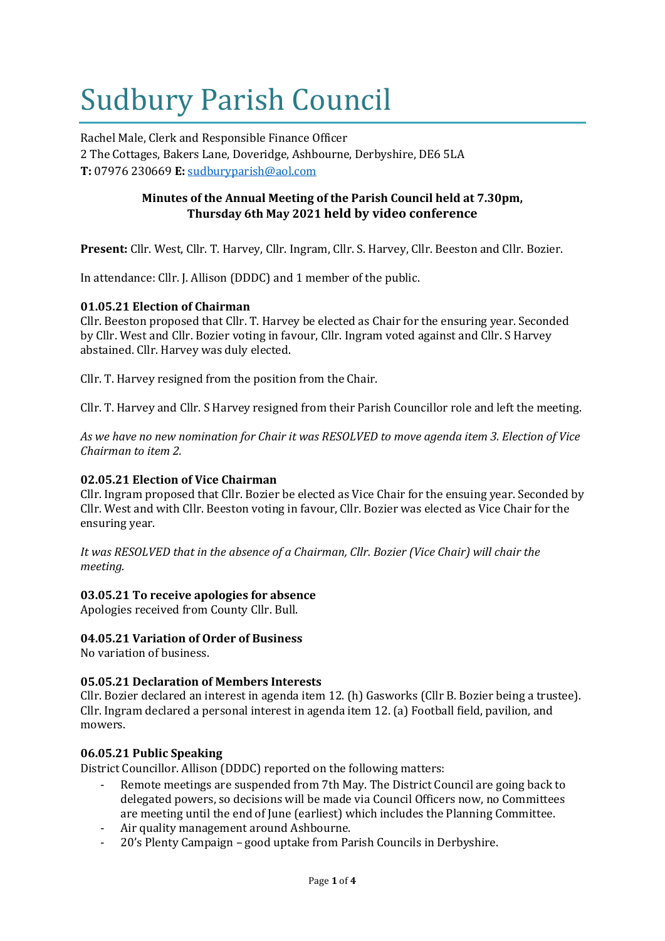# Sudbury Parish Council

Rachel Male, Clerk and Responsible Finance Officer 2 The Cottages, Bakers Lane, Doveridge, Ashbourne, Derbyshire, DE6 5LA **T:** 07976 230669 **E:** [sudburyparish@aol.com](mailto:sudburyparish@aol.com)

# **Minutes of the Annual Meeting of the Parish Council held at 7.30pm, Thursday 6th May 2021 held by video conference**

**Present:** Cllr. West, Cllr. T. Harvey, Cllr. Ingram, Cllr. S. Harvey, Cllr. Beeston and Cllr. Bozier.

In attendance: Cllr. J. Allison (DDDC) and 1 member of the public.

# **01.05.21 Election of Chairman**

Cllr. Beeston proposed that Cllr. T. Harvey be elected as Chair for the ensuring year. Seconded by Cllr. West and Cllr. Bozier voting in favour, Cllr. Ingram voted against and Cllr. S Harvey abstained. Cllr. Harvey was duly elected.

Cllr. T. Harvey resigned from the position from the Chair.

Cllr. T. Harvey and Cllr. S Harvey resigned from their Parish Councillor role and left the meeting.

*As we have no new nomination for Chair it was RESOLVED to move agenda item 3. Election of Vice Chairman to item 2.*

# **02.05.21 Election of Vice Chairman**

Cllr. Ingram proposed that Cllr. Bozier be elected as Vice Chair for the ensuing year. Seconded by Cllr. West and with Cllr. Beeston voting in favour, Cllr. Bozier was elected as Vice Chair for the ensuring year.

*It was RESOLVED that in the absence of a Chairman, Cllr. Bozier (Vice Chair) will chair the meeting.*

## **03.05.21 To receive apologies for absence**

Apologies received from County Cllr. Bull.

## **04.05.21 Variation of Order of Business**

No variation of business.

## **05.05.21 Declaration of Members Interests**

Cllr. Bozier declared an interest in agenda item 12. (h) Gasworks (Cllr B. Bozier being a trustee). Cllr. Ingram declared a personal interest in agenda item 12. (a) Football field, pavilion, and mowers.

## **06.05.21 Public Speaking**

District Councillor. Allison (DDDC) reported on the following matters:

- Remote meetings are suspended from 7th May. The District Council are going back to delegated powers, so decisions will be made via Council Officers now, no Committees are meeting until the end of June (earliest) which includes the Planning Committee.
- Air quality management around Ashbourne.
- 20's Plenty Campaign good uptake from Parish Councils in Derbyshire.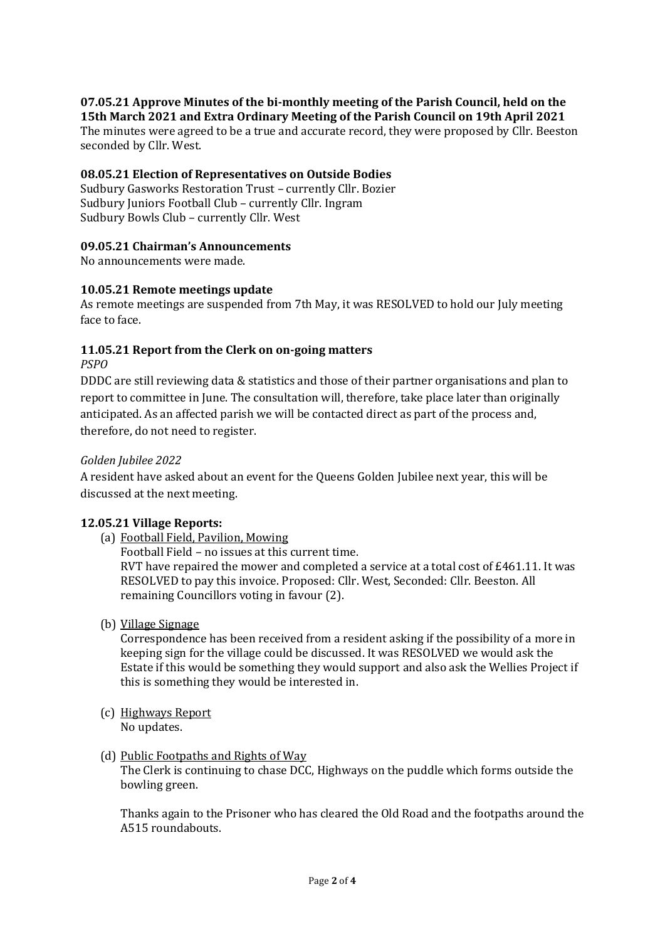### **07.05.21 Approve Minutes of the bi-monthly meeting of the Parish Council, held on the 15th March 2021 and Extra Ordinary Meeting of the Parish Council on 19th April 2021**

The minutes were agreed to be a true and accurate record, they were proposed by Cllr. Beeston seconded by Cllr. West.

## **08.05.21 Election of Representatives on Outside Bodies**

Sudbury Gasworks Restoration Trust – currently Cllr. Bozier Sudbury Juniors Football Club – currently Cllr. Ingram Sudbury Bowls Club – currently Cllr. West

# **09.05.21 Chairman's Announcements**

No announcements were made.

## **10.05.21 Remote meetings update**

As remote meetings are suspended from 7th May, it was RESOLVED to hold our July meeting face to face.

# **11.05.21 Report from the Clerk on on-going matters**

*PSPO*

DDDC are still reviewing data & statistics and those of their partner organisations and plan to report to committee in June. The consultation will, therefore, take place later than originally anticipated. As an affected parish we will be contacted direct as part of the process and, therefore, do not need to register.

# *Golden Jubilee 2022*

A resident have asked about an event for the Queens Golden Jubilee next year, this will be discussed at the next meeting.

## **12.05.21 Village Reports:**

(a) Football Field, Pavilion, Mowing

Football Field – no issues at this current time.

RVT have repaired the mower and completed a service at a total cost of £461.11. It was RESOLVED to pay this invoice. Proposed: Cllr. West, Seconded: Cllr. Beeston. All remaining Councillors voting in favour (2).

(b) Village Signage

Correspondence has been received from a resident asking if the possibility of a more in keeping sign for the village could be discussed. It was RESOLVED we would ask the Estate if this would be something they would support and also ask the Wellies Project if this is something they would be interested in.

- (c) Highways Report No updates.
- (d) Public Footpaths and Rights of Way

The Clerk is continuing to chase DCC, Highways on the puddle which forms outside the bowling green.

Thanks again to the Prisoner who has cleared the Old Road and the footpaths around the A515 roundabouts.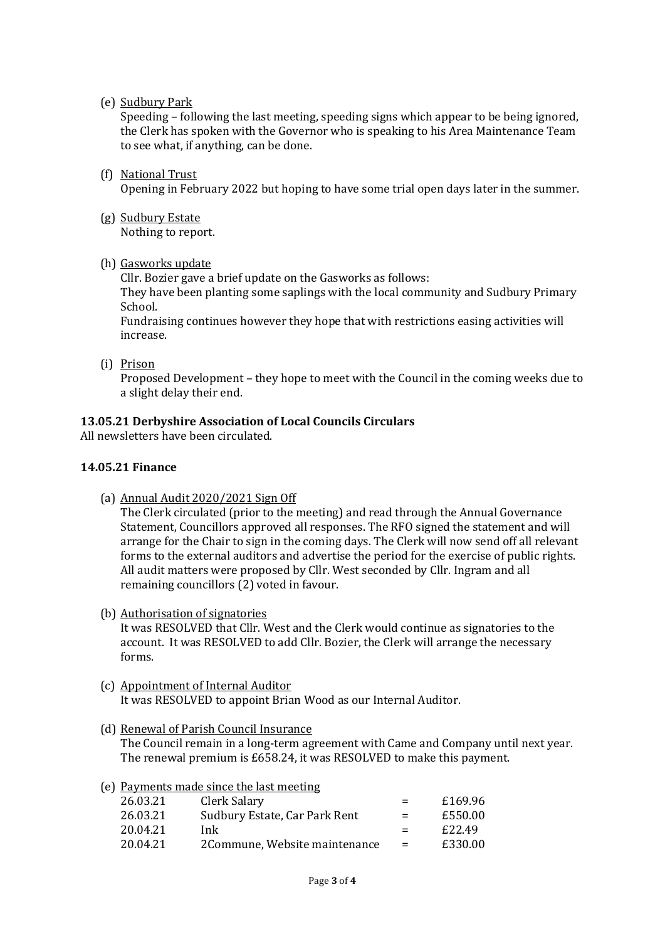(e) Sudbury Park

Speeding – following the last meeting, speeding signs which appear to be being ignored, the Clerk has spoken with the Governor who is speaking to his Area Maintenance Team to see what, if anything, can be done.

- (f) National Trust Opening in February 2022 but hoping to have some trial open days later in the summer.
- (g) Sudbury Estate Nothing to report.
- (h) Gasworks update

Cllr. Bozier gave a brief update on the Gasworks as follows:

They have been planting some saplings with the local community and Sudbury Primary School.

Fundraising continues however they hope that with restrictions easing activities will increase.

(i) Prison

Proposed Development – they hope to meet with the Council in the coming weeks due to a slight delay their end.

## **13.05.21 Derbyshire Association of Local Councils Circulars**

All newsletters have been circulated.

## **14.05.21 Finance**

(a) Annual Audit 2020/2021 Sign Off

The Clerk circulated (prior to the meeting) and read through the Annual Governance Statement, Councillors approved all responses. The RFO signed the statement and will arrange for the Chair to sign in the coming days. The Clerk will now send off all relevant forms to the external auditors and advertise the period for the exercise of public rights. All audit matters were proposed by Cllr. West seconded by Cllr. Ingram and all remaining councillors (2) voted in favour.

(b) Authorisation of signatories

It was RESOLVED that Cllr. West and the Clerk would continue as signatories to the account. It was RESOLVED to add Cllr. Bozier, the Clerk will arrange the necessary forms.

- (c) Appointment of Internal Auditor It was RESOLVED to appoint Brian Wood as our Internal Auditor.
- (d) Renewal of Parish Council Insurance

The Council remain in a long-term agreement with Came and Company until next year. The renewal premium is £658.24, it was RESOLVED to make this payment.

| (e) Payments made since the last meeting |                               |     |         |  |
|------------------------------------------|-------------------------------|-----|---------|--|
| 26.03.21                                 | Clerk Salary                  | $=$ | £169.96 |  |
| 26.03.21                                 | Sudbury Estate, Car Park Rent | $=$ | £550.00 |  |
| 20.04.21                                 | Ink.                          | $=$ | £22.49  |  |
| 20.04.21                                 | 2Commune, Website maintenance | $=$ | £330.00 |  |
|                                          |                               |     |         |  |